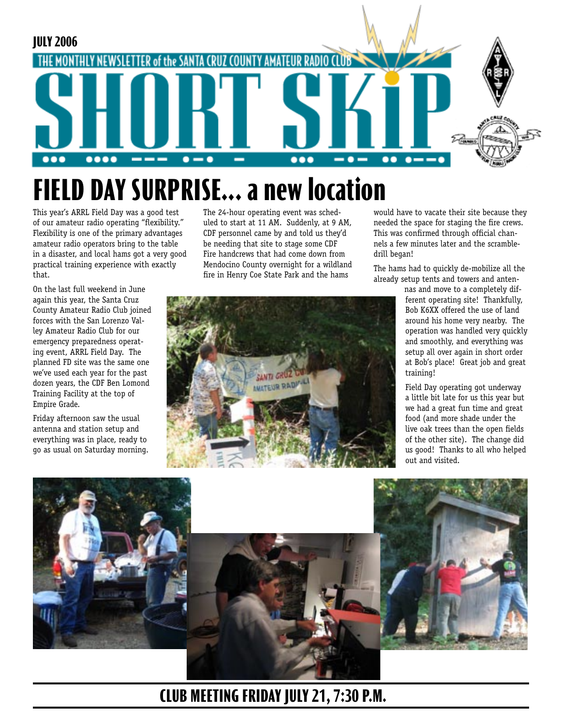

# **FIELD DAY SURPRISE... a new location**

This year's ARRL Field Day was a good test of our amateur radio operating "flexibility." Flexibility is one of the primary advantages amateur radio operators bring to the table in a disaster, and local hams got a very good practical training experience with exactly that.

The 24-hour operating event was scheduled to start at 11 AM. Suddenly, at 9 AM, CDF personnel came by and told us they'd be needing that site to stage some CDF Fire handcrews that had come down from Mendocino County overnight for a wildland fire in Henry Coe State Park and the hams

> **CANTI GR WATEUR RAD!**

would have to vacate their site because they needed the space for staging the fire crews. This was confirmed through official channels a few minutes later and the scrambledrill began!

The hams had to quickly de-mobilize all the already setup tents and towers and anten-

> nas and move to a completely different operating site! Thankfully, Bob K6XX offered the use of land around his home very nearby. The operation was handled very quickly and smoothly, and everything was setup all over again in short order at Bob's place! Great job and great training!

Field Day operating got underway a little bit late for us this year but we had a great fun time and great food (and more shade under the live oak trees than the open fields of the other site). The change did us good! Thanks to all who helped out and visited.



## **CLUB MEETING FRIDAY JULY 21, 7:30 P.M.**

On the last full weekend in June again this year, the Santa Cruz County Amateur Radio Club joined forces with the San Lorenzo Valley Amateur Radio Club for our emergency preparedness operating event, ARRL Field Day. The planned FD site was the same one we've used each year for the past dozen years, the CDF Ben Lomond Training Facility at the top of Empire Grade.

Friday afternoon saw the usual antenna and station setup and everything was in place, ready to go as usual on Saturday morning.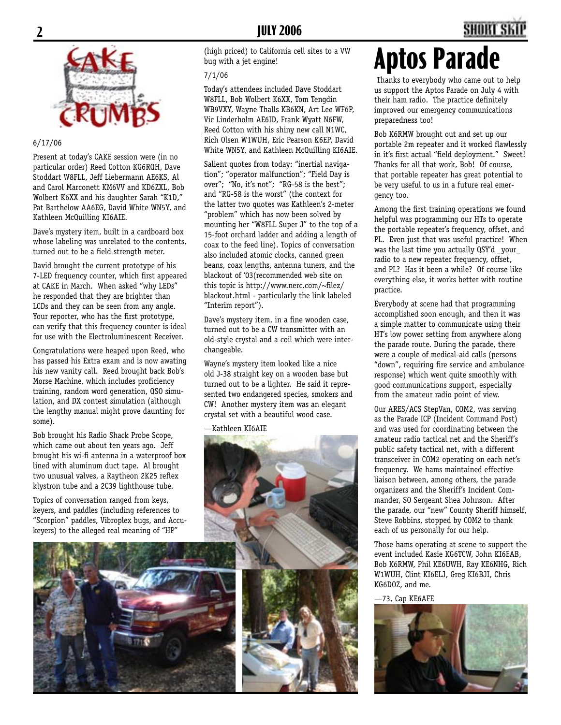

#### 6/17/06

Present at today's CAKE session were (in no particular order) Reed Cotton KG6RQH, Dave Stoddart W8FLL, Jeff Liebermann AE6KS, Al and Carol Marconett KM6VV and KD6ZXL, Bob Wolbert K6XX and his daughter Sarah "K1D," Pat Barthelow AA6EG, David White WN5Y, and Kathleen McQuilling KI6AIE.

Dave's mystery item, built in a cardboard box whose labeling was unrelated to the contents, turned out to be a field strength meter.

David brought the current prototype of his 7-LED frequency counter, which first appeared at CAKE in March. When asked "why LEDs" he responded that they are brighter than LCDs and they can be seen from any angle. Your reporter, who has the first prototype, can verify that this frequency counter is ideal for use with the Electroluminescent Receiver.

Congratulations were heaped upon Reed, who has passed his Extra exam and is now awating his new vanity call. Reed brought back Bob's Morse Machine, which includes proficiency training, random word generation, QSO simulation, and DX contest simulation (although the lengthy manual might prove daunting for some).

Bob brought his Radio Shack Probe Scope, which came out about ten years ago. Jeff brought his wi-fi antenna in a waterproof box lined with aluminum duct tape. Al brought two unusual valves, a Raytheon 2K25 reflex klystron tube and a 2C39 lighthouse tube.

Topics of conversation ranged from keys, keyers, and paddles (including references to "Scorpion" paddles, Vibroplex bugs, and Accukeyers) to the alleged real meaning of "HP"



(high priced) to California cell sites to a VW bug with a jet engine!

#### 7/1/06

Today's attendees included Dave Stoddart W8FLL, Bob Wolbert K6XX, Tom Tengdin WB9VXY, Wayne Thalls KB6KN, Art Lee WF6P, Vic Linderholm AE6ID, Frank Wyatt N6FW, Reed Cotton with his shiny new call N1WC, Rich Olsen W1WUH, Eric Pearson K6EP, David White WN5Y, and Kathleen McQuilling KI6AIE.

Salient quotes from today: "inertial navigation"; "operator malfunction"; "Field Day is over"; "No, it's not"; "RG-58 is the best"; and "RG-58 is the worst" (the context for the latter two quotes was Kathleen's 2-meter "problem" which has now been solved by mounting her "W8FLL Super J" to the top of a 15-foot orchard ladder and adding a length of coax to the feed line). Topics of conversation also included atomic clocks, canned green beans, coax lengths, antenna tuners, and the blackout of '03(recommended web site on this topic is http://www.nerc.com/~filez/ blackout.html - particularly the link labeled "Interim report").

Dave's mystery item, in a fine wooden case, turned out to be a CW transmitter with an old-style crystal and a coil which were interchangeable.

Wayne's mystery item looked like a nice old J-38 straight key on a wooden base but turned out to be a lighter. He said it represented two endangered species, smokers and CW! Another mystery item was an elegant crystal set with a beautiful wood case.

—Kathleen KI6AIE



# **Aptos Parade**

 Thanks to everybody who came out to help us support the Aptos Parade on July 4 with their ham radio. The practice definitely improved our emergency communications preparedness too!

Bob K6RMW brought out and set up our portable 2m repeater and it worked flawlessly in it's first actual "field deployment." Sweet! Thanks for all that work, Bob! Of course, that portable repeater has great potential to be very useful to us in a future real emergency too.

Among the first training operations we found helpful was programming our HTs to operate the portable repeater's frequency, offset, and PL. Even just that was useful practice! When was the last time you actually QSY'd \_your\_ radio to a new repeater frequency, offset, and PL? Has it been a while? Of course like everything else, it works better with routine practice.

Everybody at scene had that programming accomplished soon enough, and then it was a simple matter to communicate using their HT's low power setting from anywhere along the parade route. During the parade, there were a couple of medical-aid calls (persons "down", requiring fire service and ambulance response) which went quite smoothly with good communications support, especially from the amateur radio point of view.

Our ARES/ACS StepVan, COM2, was serving as the Parade ICP (Incident Command Post) and was used for coordinating between the amateur radio tactical net and the Sheriff's public safety tactical net, with a different transceiver in COM2 operating on each net's frequency. We hams maintained effective liaison between, among others, the parade organizers and the Sheriff's Incident Commander, SO Sergeant Shea Johnson. After the parade, our "new" County Sheriff himself, Steve Robbins, stopped by COM2 to thank each of us personally for our help.

Those hams operating at scene to support the event included Kasie KG6TCW, John KI6EAB, Bob K6RMW, Phil KE6UWH, Ray KE6NHG, Rich W1WUH, Clint KI6ELJ, Greg KI6BJI, Chris KG6DOZ, and me.

—73, Cap KE6AFE

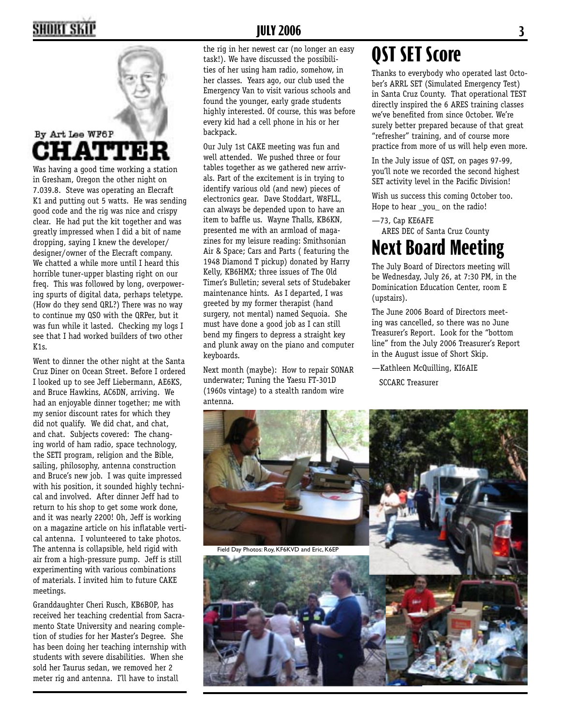## **2 JULY 2006 3**



## By Art Lee WF6P **HATT**

Was having a good time working a station in Gresham, Oregon the other night on 7.039.8. Steve was operating an Elecraft K1 and putting out 5 watts. He was sending good code and the rig was nice and crispy clear. He had put the kit together and was greatly impressed when I did a bit of name dropping, saying I knew the developer/ designer/owner of the Elecraft company. We chatted a while more until I heard this horrible tuner-upper blasting right on our freq. This was followed by long, overpowering spurts of digital data, perhaps teletype. (How do they send QRL?) There was no way to continue my QSO with the QRPer, but it was fun while it lasted. Checking my logs I see that I had worked builders of two other  $K1s$ .

Went to dinner the other night at the Santa Cruz Diner on Ocean Street. Before I ordered I looked up to see Jeff Liebermann, AE6KS, and Bruce Hawkins, AC6DN, arriving. We had an enjoyable dinner together; me with my senior discount rates for which they did not qualify. We did chat, and chat, and chat. Subjects covered: The changing world of ham radio, space technology, the SETI program, religion and the Bible, sailing, philosophy, antenna construction and Bruce's new job. I was quite impressed with his position, it sounded highly technical and involved. After dinner Jeff had to return to his shop to get some work done, and it was nearly 2200! Oh, Jeff is working on a magazine article on his inflatable vertical antenna. I volunteered to take photos. The antenna is collapsible, held rigid with air from a high-pressure pump. Jeff is still experimenting with various combinations of materials. I invited him to future CAKE meetings.

Granddaughter Cheri Rusch, KB6BOP, has received her teaching credential from Sacramento State University and nearing completion of studies for her Master's Degree. She has been doing her teaching internship with students with severe disabilities. When she sold her Taurus sedan, we removed her 2 meter rig and antenna. I'll have to install

the rig in her newest car (no longer an easy task!). We have discussed the possibilities of her using ham radio, somehow, in her classes. Years ago, our club used the Emergency Van to visit various schools and found the younger, early grade students highly interested. Of course, this was before every kid had a cell phone in his or her backpack.

Our July 1st CAKE meeting was fun and well attended. We pushed three or four tables together as we gathered new arrivals. Part of the excitement is in trying to identify various old (and new) pieces of electronics gear. Dave Stoddart, W8FLL, can always be depended upon to have an item to baffle us. Wayne Thalls, KB6KN, presented me with an armload of magazines for my leisure reading: Smithsonian Air & Space; Cars and Parts ( featuring the 1948 Diamond T pickup) donated by Harry Kelly, KB6HMX; three issues of The Old Timer's Bulletin; several sets of Studebaker maintenance hints. As I departed, I was greeted by my former therapist (hand surgery, not mental) named Sequoia. She must have done a good job as I can still bend my fingers to depress a straight key and plunk away on the piano and computer keyboards.

Next month (maybe): How to repair SONAR underwater; Tuning the Yaesu FT-301D (1960s vintage) to a stealth random wire antenna.

## **QST SET Score**

Thanks to everybody who operated last October's ARRL SET (Simulated Emergency Test) in Santa Cruz County. That operational TEST directly inspired the 6 ARES training classes we've benefited from since October. We're surely better prepared because of that great "refresher" training, and of course more practice from more of us will help even more.

In the July issue of QST, on pages 97-99, you'll note we recorded the second highest SET activity level in the Pacific Division!

Wish us success this coming October too. Hope to hear \_you\_ on the radio!

—73, Cap KE6AFE ARES DEC of Santa Cruz County

## **Next Board Meeting**

The July Board of Directors meeting will be Wednesday, July 26, at 7:30 PM, in the Dominication Education Center, room E (upstairs).

The June 2006 Board of Directors meeting was cancelled, so there was no June Treasurer's Report. Look for the "bottom line" from the July 2006 Treasurer's Report in the August issue of Short Skip.

—Kathleen McQuilling, KI6AIE SCCARC Treasurer